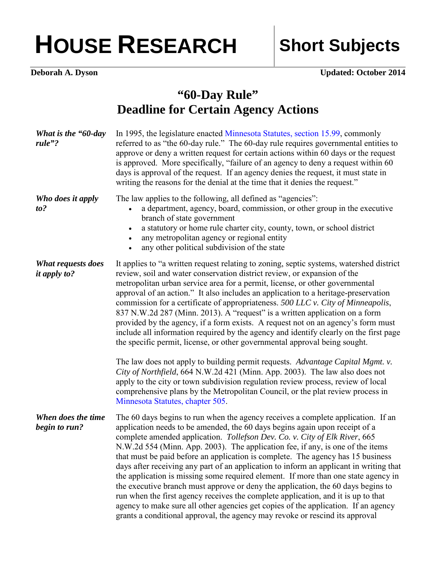## HOUSE RESEARCH Short Subjects

**Deborah A. Dyson** Updated: October 2014

## **"60-Day Rule" Deadline for Certain Agency Actions**

| What is the "60-day"<br>rule"?            | In 1995, the legislature enacted Minnesota Statutes, section 15.99, commonly<br>referred to as "the 60-day rule." The 60-day rule requires governmental entities to<br>approve or deny a written request for certain actions within 60 days or the request<br>is approved. More specifically, "failure of an agency to deny a request within 60<br>days is approval of the request. If an agency denies the request, it must state in<br>writing the reasons for the denial at the time that it denies the request."                                                                                                                                                                                                                                                                                                                                                                                                                              |
|-------------------------------------------|---------------------------------------------------------------------------------------------------------------------------------------------------------------------------------------------------------------------------------------------------------------------------------------------------------------------------------------------------------------------------------------------------------------------------------------------------------------------------------------------------------------------------------------------------------------------------------------------------------------------------------------------------------------------------------------------------------------------------------------------------------------------------------------------------------------------------------------------------------------------------------------------------------------------------------------------------|
| Who does it apply<br>to?                  | The law applies to the following, all defined as "agencies":<br>a department, agency, board, commission, or other group in the executive<br>branch of state government<br>a statutory or home rule charter city, county, town, or school district<br>$\bullet$<br>any metropolitan agency or regional entity<br>$\bullet$<br>any other political subdivision of the state<br>$\bullet$                                                                                                                                                                                                                                                                                                                                                                                                                                                                                                                                                            |
| What requests does<br><i>it apply to?</i> | It applies to "a written request relating to zoning, septic systems, watershed district<br>review, soil and water conservation district review, or expansion of the<br>metropolitan urban service area for a permit, license, or other governmental<br>approval of an action." It also includes an application to a heritage-preservation<br>commission for a certificate of appropriateness. 500 LLC v. City of Minneapolis,<br>837 N.W.2d 287 (Minn. 2013). A "request" is a written application on a form<br>provided by the agency, if a form exists. A request not on an agency's form must<br>include all information required by the agency and identify clearly on the first page<br>the specific permit, license, or other governmental approval being sought.                                                                                                                                                                           |
|                                           | The law does not apply to building permit requests. Advantage Capital Mgmt. v.<br>City of Northfield, 664 N.W.2d 421 (Minn. App. 2003). The law also does not<br>apply to the city or town subdivision regulation review process, review of local<br>comprehensive plans by the Metropolitan Council, or the plat review process in<br>Minnesota Statutes, chapter 505.                                                                                                                                                                                                                                                                                                                                                                                                                                                                                                                                                                           |
| When does the time<br>begin to run?       | The 60 days begins to run when the agency receives a complete application. If an<br>application needs to be amended, the 60 days begins again upon receipt of a<br>complete amended application. Tollefson Dev. Co. v. City of Elk River, 665<br>N.W.2d 554 (Minn. App. 2003). The application fee, if any, is one of the items<br>that must be paid before an application is complete. The agency has 15 business<br>days after receiving any part of an application to inform an applicant in writing that<br>the application is missing some required element. If more than one state agency in<br>the executive branch must approve or deny the application, the 60 days begins to<br>run when the first agency receives the complete application, and it is up to that<br>agency to make sure all other agencies get copies of the application. If an agency<br>grants a conditional approval, the agency may revoke or rescind its approval |